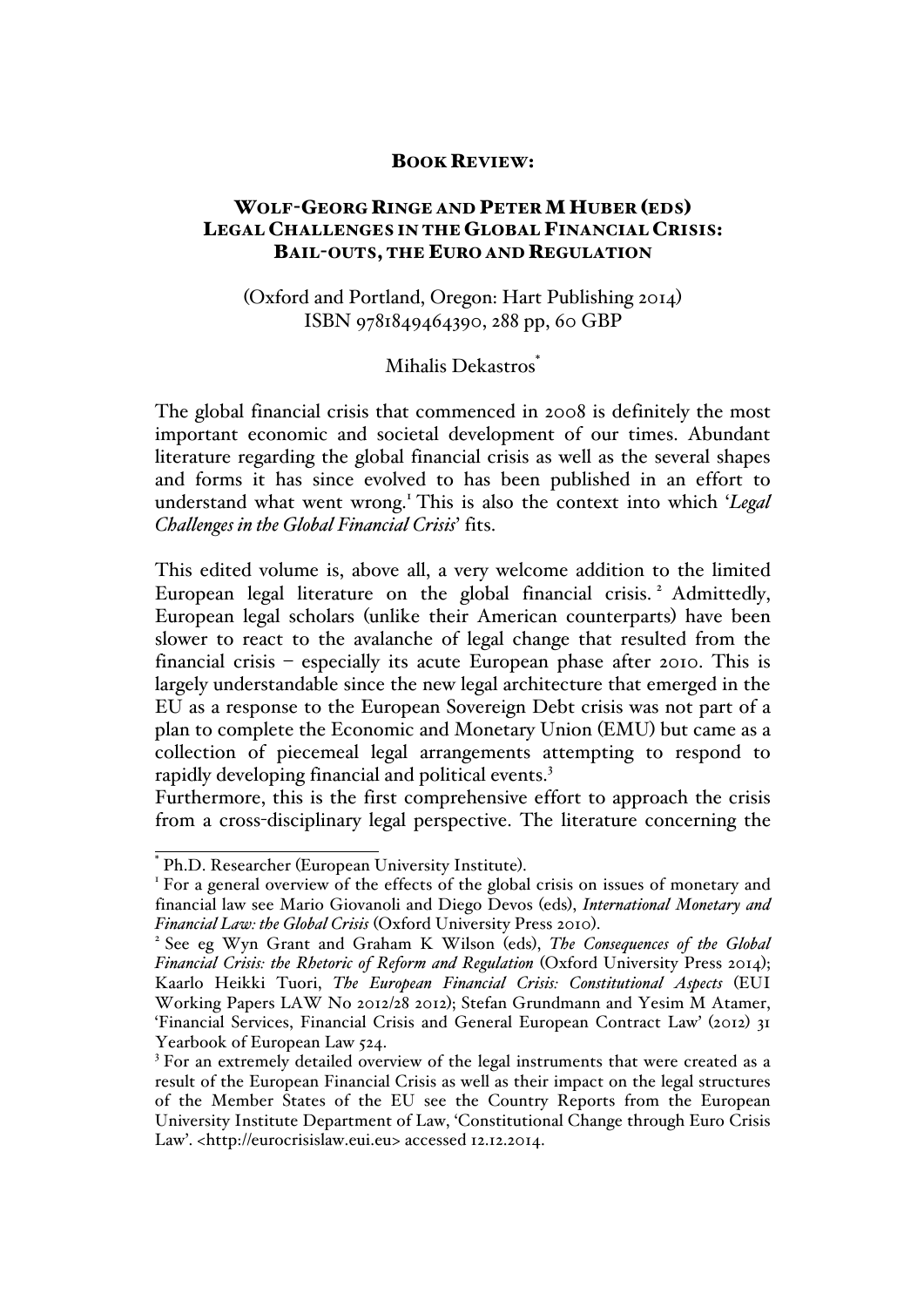## BOOK REVIEW:

## WOLF-GEORG RINGE AND PETER MHUBER (EDS) LEGAL CHALLENGES IN THE GLOBAL FINANCIAL CRISIS: BAIL-OUTS, THE EURO AND REGULATION

## (Oxford and Portland, Oregon: Hart Publishing 2014) ISBN 9781849464390, 288 pp, 60 GBP

## Mihalis Dekastros<sup>\*</sup>

The global financial crisis that commenced in 2008 is definitely the most important economic and societal development of our times. Abundant literature regarding the global financial crisis as well as the several shapes and forms it has since evolved to has been published in an effort to understand what went wrong.<sup>1</sup> This is also the context into which '*Legal Challenges in the Global Financial Crisis*' fits.

This edited volume is, above all, a very welcome addition to the limited European legal literature on the global financial crisis.<sup>2</sup> Admittedly, European legal scholars (unlike their American counterparts) have been slower to react to the avalanche of legal change that resulted from the financial crisis – especially its acute European phase after 2010. This is largely understandable since the new legal architecture that emerged in the EU as a response to the European Sovereign Debt crisis was not part of a plan to complete the Economic and Monetary Union (EMU) but came as a collection of piecemeal legal arrangements attempting to respond to rapidly developing financial and political events.<sup>3</sup>

Furthermore, this is the first comprehensive effort to approach the crisis from a cross-disciplinary legal perspective. The literature concerning the

 $*$  Ph.D. Researcher (European University Institute).<br><sup>1</sup> For a general overview of the effects of the global crisis on issues of monetary and financial law see Mario Giovanoli and Diego Devos (eds), *International Monetary and Financial Law: the Global Crisis* (Oxford University Press 2010).<br><sup>2</sup> See eg Wyn Grant and Graham K Wilson (eds), *The Consequences of the Global* 

*Financial Crisis: the Rhetoric of Reform and Regulation* (Oxford University Press 2014); Kaarlo Heikki Tuori, *The European Financial Crisis: Constitutional Aspects* (EUI Working Papers LAW No 2012/28 2012); Stefan Grundmann and Yesim M Atamer, 'Financial Services, Financial Crisis and General European Contract Law' (2012) 31 Yearbook of European Law 524.<br><sup>3</sup> For an extremely detailed overview of the legal instruments that were created as a

result of the European Financial Crisis as well as their impact on the legal structures of the Member States of the EU see the Country Reports from the European University Institute Department of Law, 'Constitutional Change through Euro Crisis Law'. <http://eurocrisislaw.eui.eu> accessed 12.12.2014.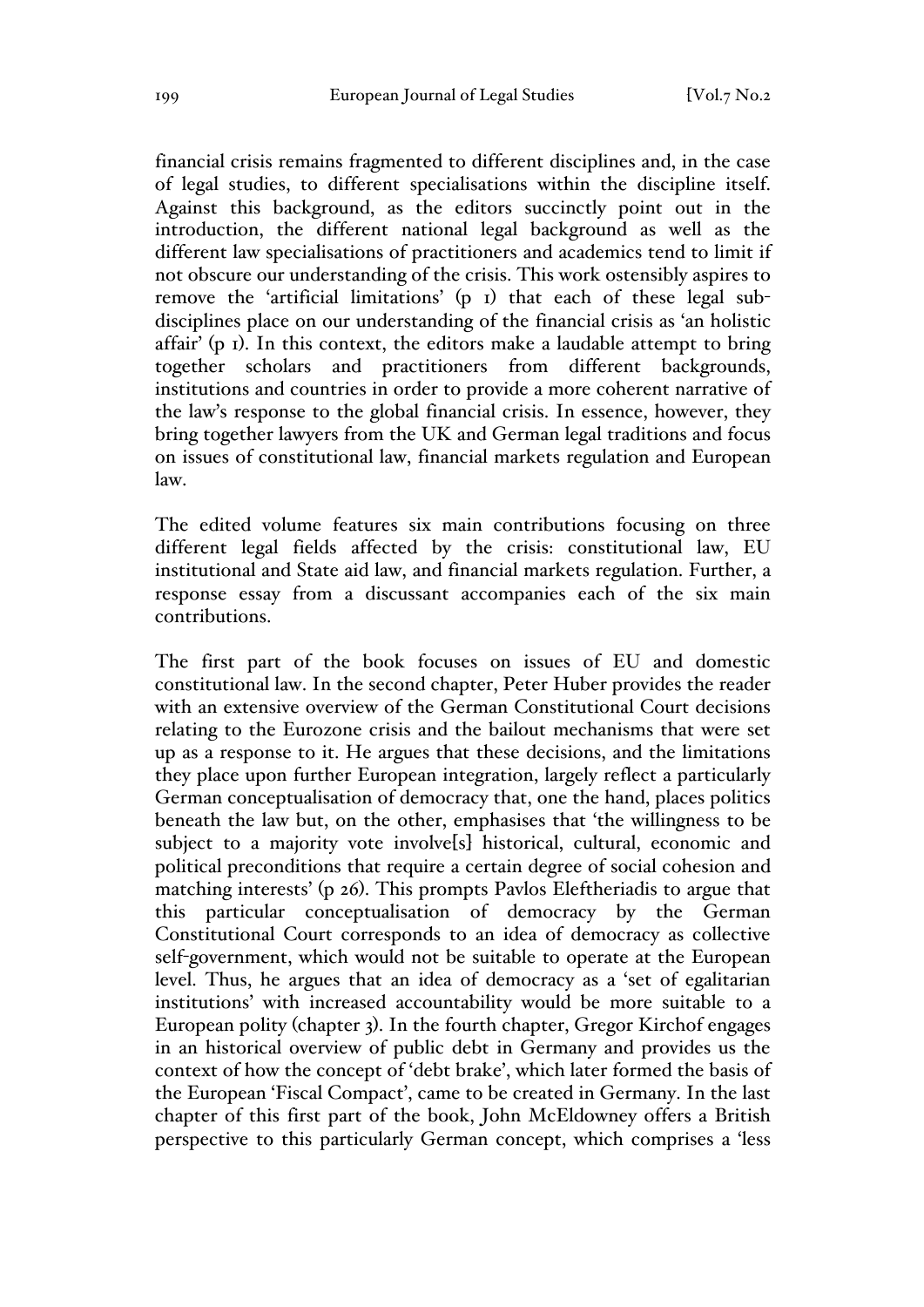financial crisis remains fragmented to different disciplines and, in the case of legal studies, to different specialisations within the discipline itself. Against this background, as the editors succinctly point out in the introduction, the different national legal background as well as the different law specialisations of practitioners and academics tend to limit if not obscure our understanding of the crisis. This work ostensibly aspires to remove the 'artificial limitations' (p 1) that each of these legal subdisciplines place on our understanding of the financial crisis as 'an holistic affair' (p 1). In this context, the editors make a laudable attempt to bring together scholars and practitioners from different backgrounds, institutions and countries in order to provide a more coherent narrative of the law's response to the global financial crisis. In essence, however, they bring together lawyers from the UK and German legal traditions and focus on issues of constitutional law, financial markets regulation and European law.

The edited volume features six main contributions focusing on three different legal fields affected by the crisis: constitutional law, EU institutional and State aid law, and financial markets regulation. Further, a response essay from a discussant accompanies each of the six main contributions.

The first part of the book focuses on issues of EU and domestic constitutional law. In the second chapter, Peter Huber provides the reader with an extensive overview of the German Constitutional Court decisions relating to the Eurozone crisis and the bailout mechanisms that were set up as a response to it. He argues that these decisions, and the limitations they place upon further European integration, largely reflect a particularly German conceptualisation of democracy that, one the hand, places politics beneath the law but, on the other, emphasises that 'the willingness to be subject to a majority vote involve<sup>[s]</sup> historical, cultural, economic and political preconditions that require a certain degree of social cohesion and matching interests' (p 26). This prompts Pavlos Eleftheriadis to argue that this particular conceptualisation of democracy by the German Constitutional Court corresponds to an idea of democracy as collective self-government, which would not be suitable to operate at the European level. Thus, he argues that an idea of democracy as a 'set of egalitarian institutions' with increased accountability would be more suitable to a European polity (chapter 3). In the fourth chapter, Gregor Kirchof engages in an historical overview of public debt in Germany and provides us the context of how the concept of 'debt brake', which later formed the basis of the European 'Fiscal Compact', came to be created in Germany. In the last chapter of this first part of the book, John McEldowney offers a British perspective to this particularly German concept, which comprises a 'less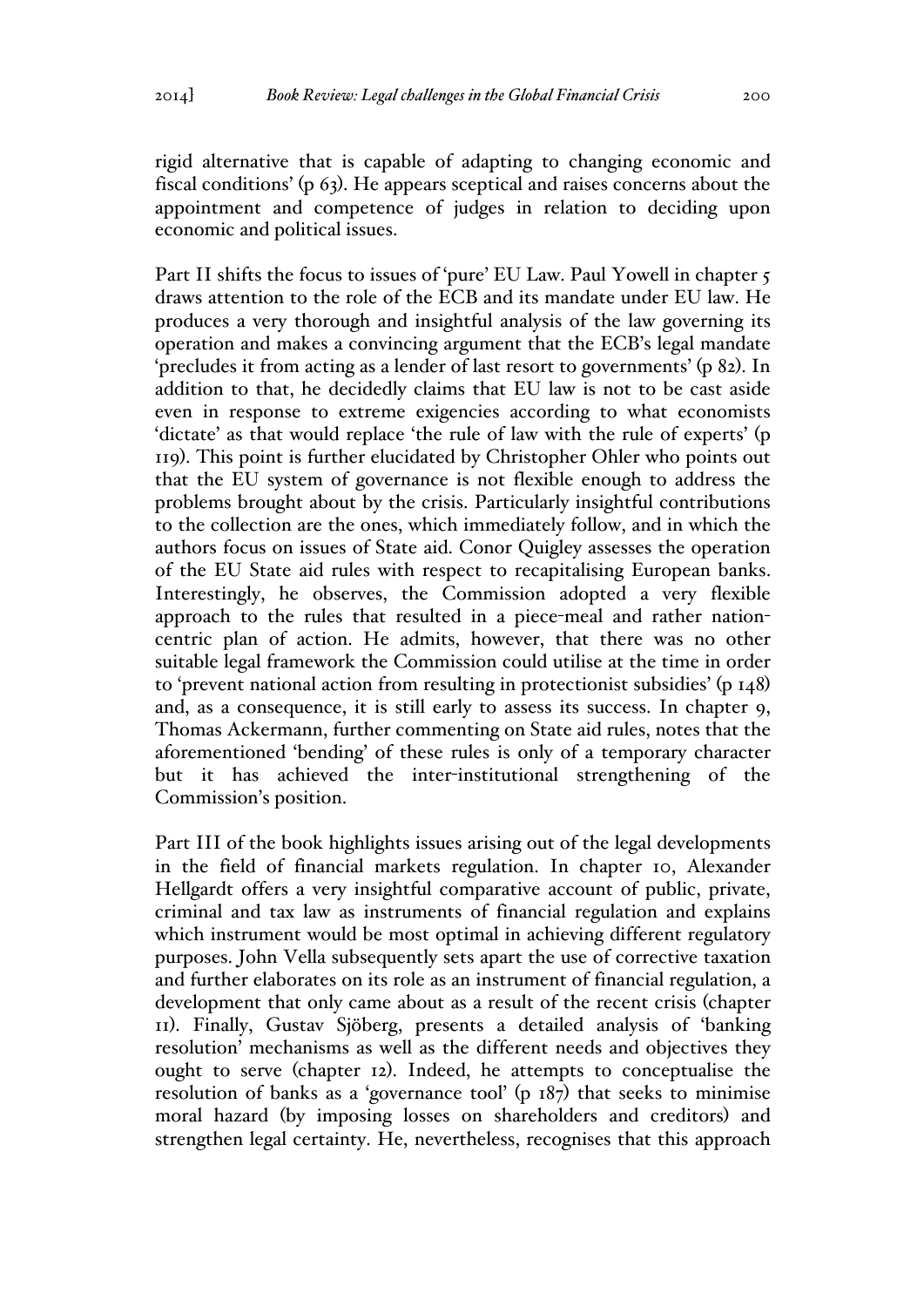rigid alternative that is capable of adapting to changing economic and fiscal conditions' (p 63). He appears sceptical and raises concerns about the appointment and competence of judges in relation to deciding upon economic and political issues.

Part II shifts the focus to issues of 'pure' EU Law. Paul Yowell in chapter 5 draws attention to the role of the ECB and its mandate under EU law. He produces a very thorough and insightful analysis of the law governing its operation and makes a convincing argument that the ECB's legal mandate 'precludes it from acting as a lender of last resort to governments' (p 82). In addition to that, he decidedly claims that EU law is not to be cast aside even in response to extreme exigencies according to what economists 'dictate' as that would replace 'the rule of law with the rule of experts' (p 119). This point is further elucidated by Christopher Ohler who points out that the EU system of governance is not flexible enough to address the problems brought about by the crisis. Particularly insightful contributions to the collection are the ones, which immediately follow, and in which the authors focus on issues of State aid. Conor Quigley assesses the operation of the EU State aid rules with respect to recapitalising European banks. Interestingly, he observes, the Commission adopted a very flexible approach to the rules that resulted in a piece-meal and rather nationcentric plan of action. He admits, however, that there was no other suitable legal framework the Commission could utilise at the time in order to 'prevent national action from resulting in protectionist subsidies' (p 148) and, as a consequence, it is still early to assess its success. In chapter 9, Thomas Ackermann, further commenting on State aid rules, notes that the aforementioned 'bending' of these rules is only of a temporary character but it has achieved the inter-institutional strengthening of the Commission's position.

Part III of the book highlights issues arising out of the legal developments in the field of financial markets regulation. In chapter 10, Alexander Hellgardt offers a very insightful comparative account of public, private, criminal and tax law as instruments of financial regulation and explains which instrument would be most optimal in achieving different regulatory purposes. John Vella subsequently sets apart the use of corrective taxation and further elaborates on its role as an instrument of financial regulation, a development that only came about as a result of the recent crisis (chapter 11). Finally, Gustav Sjöberg, presents a detailed analysis of 'banking resolution' mechanisms as well as the different needs and objectives they ought to serve (chapter 12). Indeed, he attempts to conceptualise the resolution of banks as a 'governance tool' (p 187) that seeks to minimise moral hazard (by imposing losses on shareholders and creditors) and strengthen legal certainty. He, nevertheless, recognises that this approach